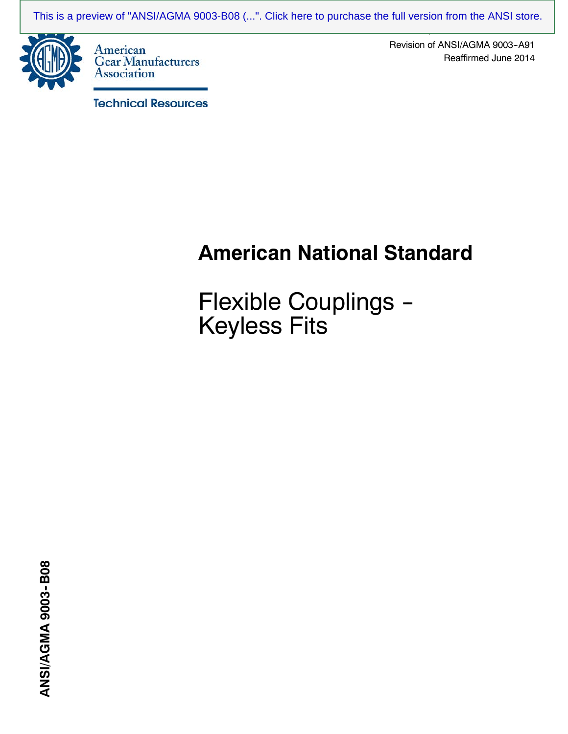[This is a preview of "ANSI/AGMA 9003-B08 \(...". Click here to purchase the full version from the ANSI store.](https://webstore.ansi.org/Standards/AGMA/ANSIAGMA9003B08R2014?source=preview)



American **Gear Manufacturers**<br>Association

**Technical Resources** 

Revision of ANSI/AGMA 9003-A91 Reaffirmed June 2014

**ANSI/AGMA 9003--B08**

# **American National Standard**

Flexible Couplings -Keyless Fits

**ANSI/AGMA 9003-B08 ANSI/AGMA 9003--B08**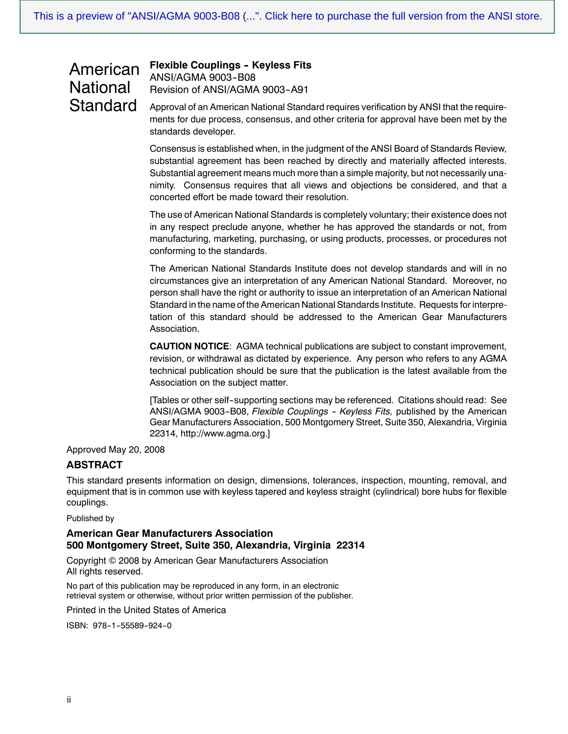# American **National Standard**

### **Flexible Couplings - Keyless Fits** ANSI/AGMA 9003-B08

Revision of ANSI/AGMA 9003-A91

Approval of an American National Standard requires verification by ANSI that the requirements for due process, consensus, and other criteria for approval have been met by the standards developer.

Consensus is established when, in the judgment of the ANSI Board of Standards Review, substantial agreement has been reached by directly and materially affected interests. Substantial agreement means much more than a simple majority, but not necessarily unanimity. Consensus requires that all views and objections be considered, and that a concerted effort be made toward their resolution.

The use of American National Standards is completely voluntary; their existence does not in any respect preclude anyone, whether he has approved the standards or not, from manufacturing, marketing, purchasing, or using products, processes, or procedures not conforming to the standards.

The American National Standards Institute does not develop standards and will in no circumstances give an interpretation of any American National Standard. Moreover, no person shall have the right or authority to issue an interpretation of an American National Standard in the name of the American National Standards Institute. Requests for interpretation of this standard should be addressed to the American Gear Manufacturers Association.

**CAUTION NOTICE**: AGMA technical publications are subject to constant improvement, revision, or withdrawal as dictated by experience. Any person who refers to any AGMA technical publication should be sure that the publication is the latest available from the Association on the subject matter.

[Tables or other self--supporting sections may be referenced. Citations should read: See ANSI/AGMA 9003-B08, *Flexible Couplings - Keyless Fits*, published by the American Gear Manufacturers Association, 500 Montgomery Street, Suite 350, Alexandria, Virginia 22314, http://www.agma.org.]

#### Approved May 20, 2008

#### **ABSTRACT**

This standard presents information on design, dimensions, tolerances, inspection, mounting, removal, and equipment that is in common use with keyless tapered and keyless straight (cylindrical) bore hubs for flexible couplings.

Published by

#### **American Gear Manufacturers Association 500 Montgomery Street, Suite 350, Alexandria, Virginia 22314**

Copyright 2008 by American Gear Manufacturers Association All rights reserved.

No part of this publication may be reproduced in any form, in an electronic retrieval system or otherwise, without prior written permission of the publisher.

Printed in the United States of America

ISBN: 978-1-55589-924-0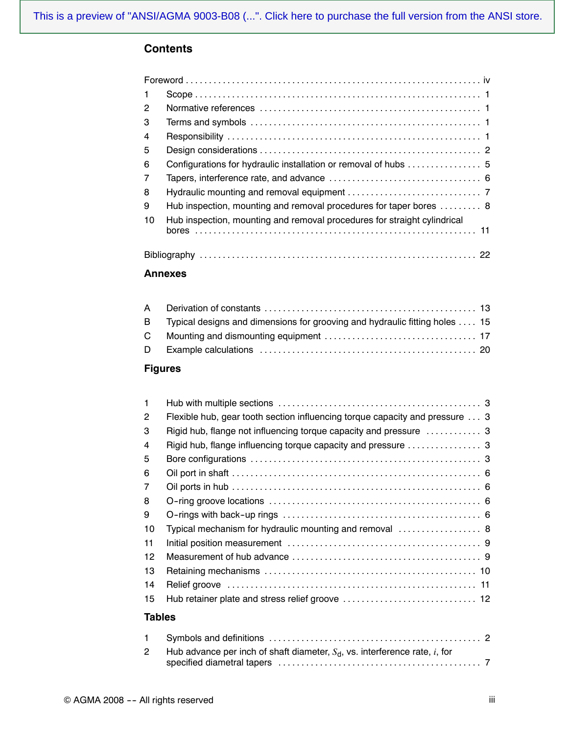### **Contents**

| 2  |                                                                          |  |
|----|--------------------------------------------------------------------------|--|
| 3  |                                                                          |  |
| 4  |                                                                          |  |
| 5  |                                                                          |  |
| 6  |                                                                          |  |
| 7  |                                                                          |  |
| 8  |                                                                          |  |
| 9  | Hub inspection, mounting and removal procedures for taper bores  8       |  |
| 10 | Hub inspection, mounting and removal procedures for straight cylindrical |  |
|    |                                                                          |  |

#### **Annexes**

| B Typical designs and dimensions for grooving and hydraulic fitting holes  15 |  |
|-------------------------------------------------------------------------------|--|
|                                                                               |  |
|                                                                               |  |
|                                                                               |  |

# **Figures**

| 1              |                                                                               |
|----------------|-------------------------------------------------------------------------------|
| $\overline{2}$ | Flexible hub, gear tooth section influencing torque capacity and pressure  3  |
| 3              | Rigid hub, flange not influencing torque capacity and pressure  3             |
| 4              |                                                                               |
| 5              |                                                                               |
| 6              |                                                                               |
| 7              |                                                                               |
| 8              |                                                                               |
| 9              |                                                                               |
| 10             | Typical mechanism for hydraulic mounting and removal  8                       |
| 11             |                                                                               |
| $12 \,$        |                                                                               |
| 13             |                                                                               |
| 14             |                                                                               |
| 15             |                                                                               |
| <b>Tables</b>  |                                                                               |
| 1              |                                                                               |
| $\overline{2}$ | Hub advance per inch of shaft diameter, $S_d$ , vs. interference rate, i, for |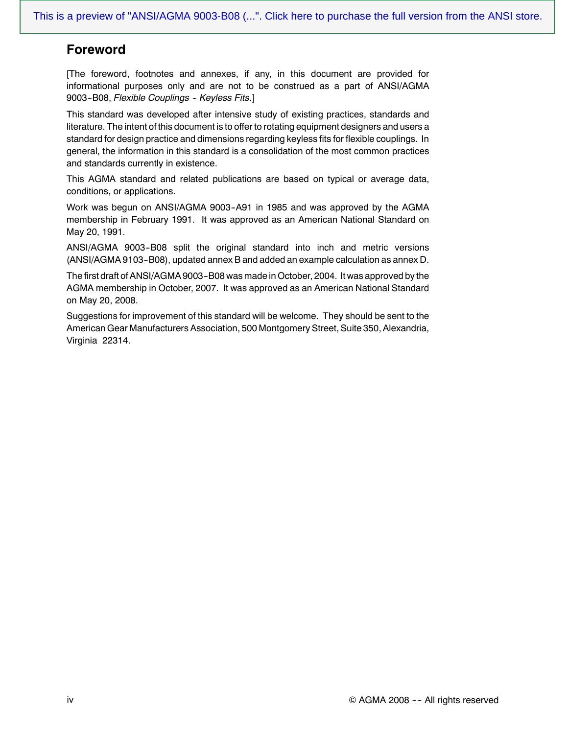## **Foreword**

[The foreword, footnotes and annexes, if any, in this document are provided for informational purposes only and are not to be construed as a part of ANSI/AGMA 9003-B08, Flexible Couplings - Keyless Fits.]

This standard was developed after intensive study of existing practices, standards and literature. The intent of this document is to offer to rotating equipment designers and users a standard for design practice and dimensions regarding keyless fits for flexible couplings. In general, the information in this standard is a consolidation of the most common practices and standards currently in existence.

This AGMA standard and related publications are based on typical or average data, conditions, or applications.

Work was begun on ANSI/AGMA 9003-A91 in 1985 and was approved by the AGMA membership in February 1991. It was approved as an American National Standard on May 20, 1991.

ANSI/AGMA 9003-B08 split the original standard into inch and metric versions (ANSI/AGMA 9103--B08), updated annex B and added an example calculation as annex D.

The first draft of ANSI/AGMA 9003--B08 was made in October, 2004. It was approved by the AGMA membership in October, 2007. It was approved as an American National Standard on May 20, 2008.

Suggestions for improvement of this standard will be welcome. They should be sent to the American Gear Manufacturers Association, 500 Montgomery Street, Suite 350, Alexandria, Virginia 22314.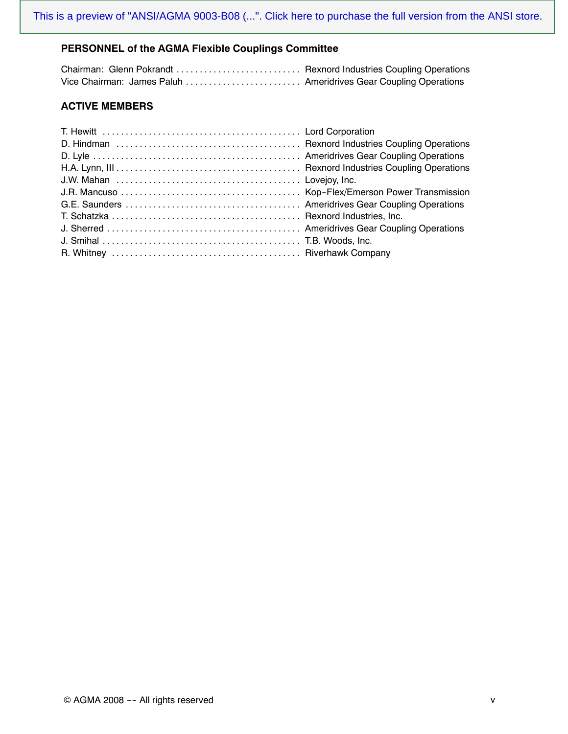# **PERSONNEL of the AGMA Flexible Couplings Committee**

| Chairman: Glenn Pokrandt  Rexnord Industries Coupling Operations |  |
|------------------------------------------------------------------|--|
| Vice Chairman: James Paluh  Ameridrives Gear Coupling Operations |  |

#### **ACTIVE MEMBERS**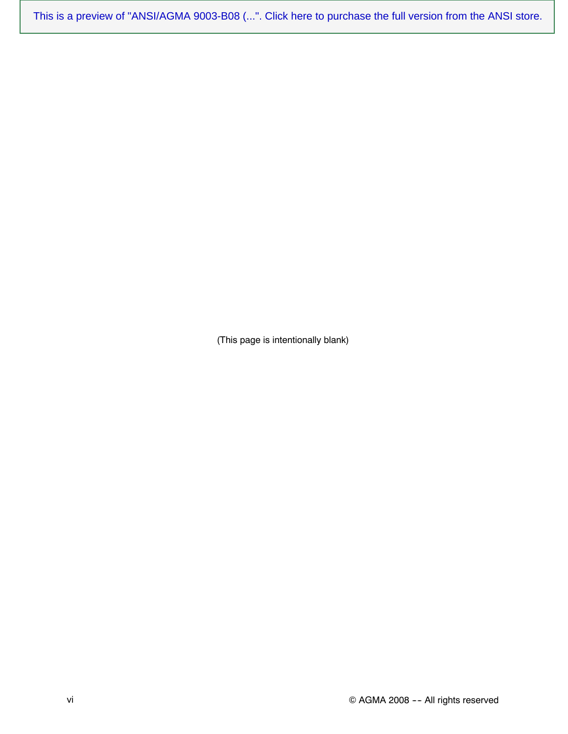[This is a preview of "ANSI/AGMA 9003-B08 \(...". Click here to purchase the full version from the ANSI store.](https://webstore.ansi.org/Standards/AGMA/ANSIAGMA9003B08R2014?source=preview)

(This page is intentionally blank)